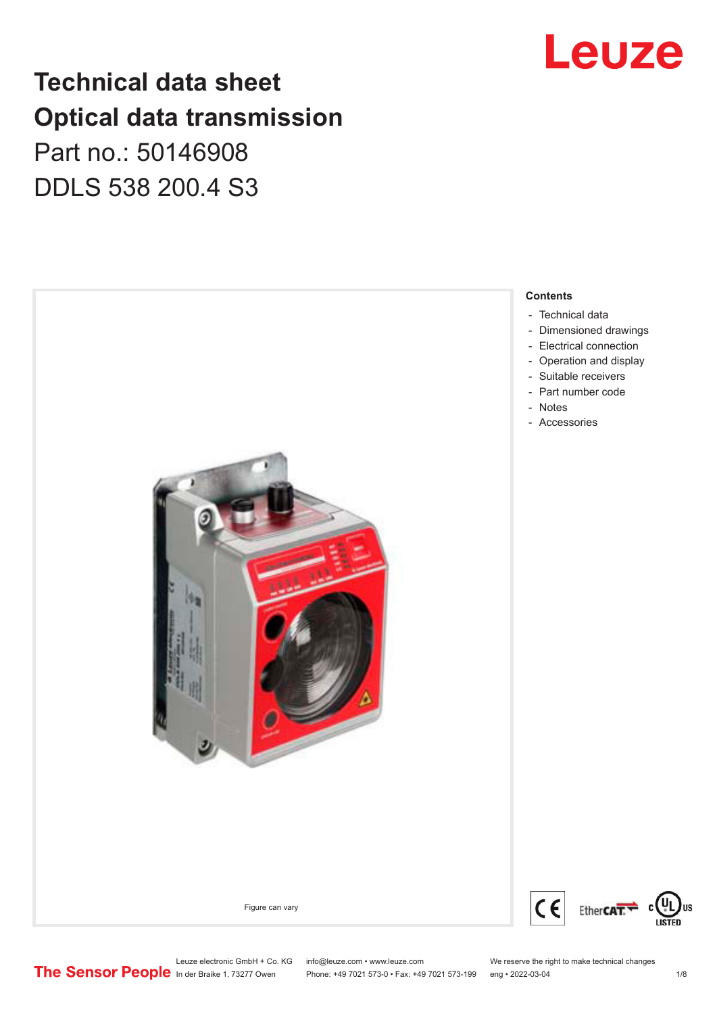## Leuze

### **Technical data sheet Optical data transmission**

### Part no.: 50146908 DDLS 538 200.4 S3

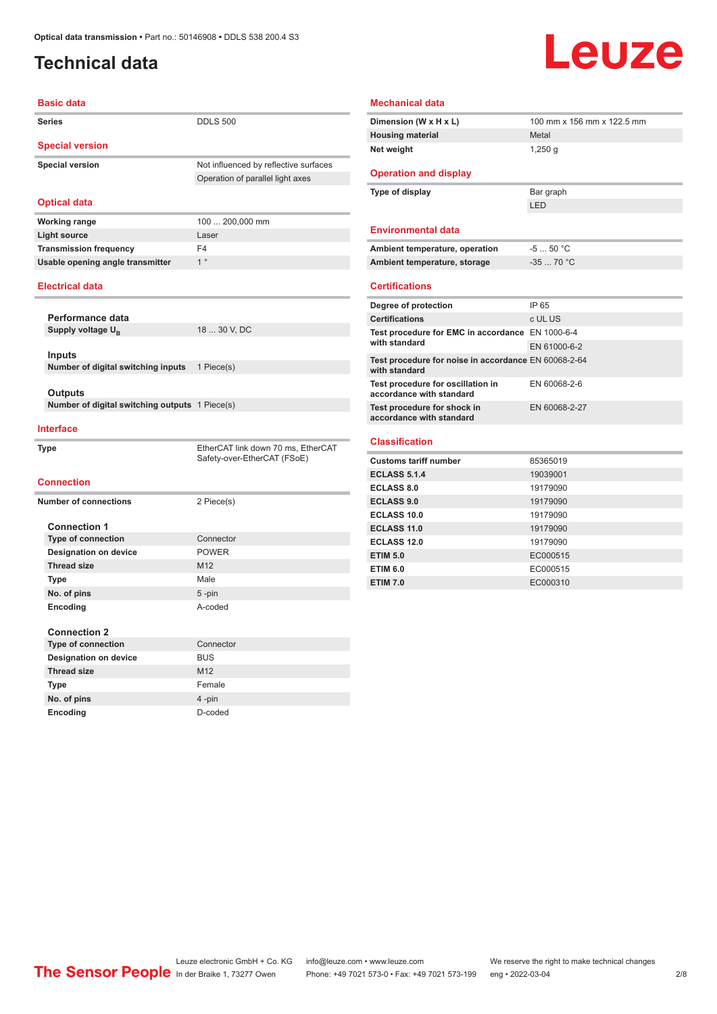### <span id="page-1-0"></span>**Technical data**

# Leuze

| <b>Basic data</b>                              |                                                                   |  |
|------------------------------------------------|-------------------------------------------------------------------|--|
| <b>Series</b>                                  | <b>DDLS 500</b>                                                   |  |
| <b>Special version</b>                         |                                                                   |  |
| <b>Special version</b>                         | Not influenced by reflective surfaces                             |  |
|                                                | Operation of parallel light axes                                  |  |
|                                                |                                                                   |  |
| <b>Optical data</b>                            |                                                                   |  |
| <b>Working range</b>                           | 100  200,000 mm                                                   |  |
| <b>Light source</b>                            | Laser                                                             |  |
| <b>Transmission frequency</b>                  | F4                                                                |  |
| Usable opening angle transmitter               | 1 <sup>°</sup>                                                    |  |
| <b>Electrical data</b>                         |                                                                   |  |
| Performance data                               |                                                                   |  |
| Supply voltage U <sub>R</sub>                  | 18  30 V, DC                                                      |  |
|                                                |                                                                   |  |
| <b>Inputs</b>                                  |                                                                   |  |
| Number of digital switching inputs             | 1 Piece(s)                                                        |  |
|                                                |                                                                   |  |
| Outputs                                        |                                                                   |  |
| Number of digital switching outputs 1 Piece(s) |                                                                   |  |
| <b>Interface</b>                               |                                                                   |  |
|                                                |                                                                   |  |
| Type                                           | EtherCAT link down 70 ms, EtherCAT<br>Safety-over-EtherCAT (FSoE) |  |
|                                                |                                                                   |  |
| <b>Connection</b>                              |                                                                   |  |
| <b>Number of connections</b>                   | 2 Piece(s)                                                        |  |
|                                                |                                                                   |  |
| <b>Connection 1</b>                            |                                                                   |  |
| <b>Type of connection</b>                      | Connector                                                         |  |
| <b>Designation on device</b>                   | <b>POWER</b>                                                      |  |
| <b>Thread size</b>                             | M12                                                               |  |
| Type                                           | Male                                                              |  |
| No. of pins                                    | $5 - pin$                                                         |  |
| Encoding                                       | A-coded                                                           |  |
|                                                |                                                                   |  |
| <b>Connection 2</b>                            |                                                                   |  |
| <b>Type of connection</b>                      | Connector                                                         |  |
| <b>Designation on device</b>                   | <b>BUS</b>                                                        |  |
| <b>Thread size</b>                             | M12                                                               |  |

**Type** Female **No. of pins** 4 -pin **Encoding** D-coded

| Dimension (W x H x L)                                                 | 100 mm x 156 mm x 122.5 mm |
|-----------------------------------------------------------------------|----------------------------|
| <b>Housing material</b>                                               | Metal                      |
| Net weight                                                            | $1,250$ g                  |
| <b>Operation and display</b>                                          |                            |
| Type of display                                                       | Bar graph                  |
|                                                                       | <b>LED</b>                 |
| <b>Environmental data</b>                                             |                            |
| Ambient temperature, operation                                        | $-550 °C$                  |
| Ambient temperature, storage                                          | $-3570 °C$                 |
| <b>Certifications</b>                                                 |                            |
| Degree of protection                                                  | IP 65                      |
| <b>Certifications</b>                                                 | c UL US                    |
| Test procedure for EMC in accordance EN 1000-6-4                      |                            |
| with standard                                                         | EN 61000-6-2               |
| Test procedure for noise in accordance EN 60068-2-64<br>with standard |                            |
| Test procedure for oscillation in<br>accordance with standard         | EN 60068-2-6               |
| Test procedure for shock in<br>accordance with standard               | EN 60068-2-27              |
|                                                                       |                            |
| <b>Classification</b>                                                 |                            |
| <b>Customs tariff number</b>                                          | 85365019                   |
| <b>ECLASS 5.1.4</b>                                                   | 19039001                   |
| <b>ECLASS 8.0</b>                                                     | 19179090                   |
| <b>ECLASS 9.0</b>                                                     | 19179090                   |
| ECLASS 10.0                                                           | 19179090                   |
| <b>ECLASS 11.0</b>                                                    | 19179090                   |
| <b>ECLASS 12.0</b>                                                    | 19179090                   |
| <b>ETIM 5.0</b>                                                       | EC000515                   |
| <b>ETIM 6.0</b>                                                       | EC000515                   |
| <b>ETIM 7.0</b>                                                       | EC000310                   |

**Mechanical data**

Leuze electronic GmbH + Co. KG info@leuze.com • www.leuze.com We reserve the right to make technical changes ln der Braike 1, 73277 Owen Phone: +49 7021 573-0 • Fax: +49 7021 573-199 eng • 2022-03-04 2/8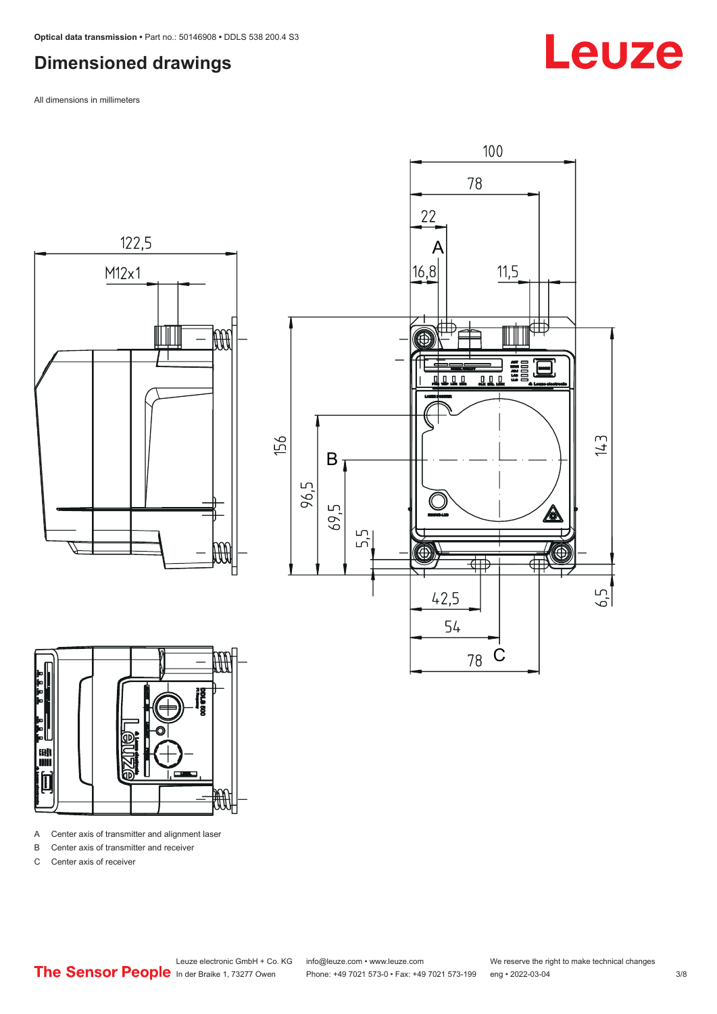#### <span id="page-2-0"></span>**Dimensioned drawings**

All dimensions in millimeters







A Center axis of transmitter and alignment laser

B Center axis of transmitter and receiver

C Center axis of receiver

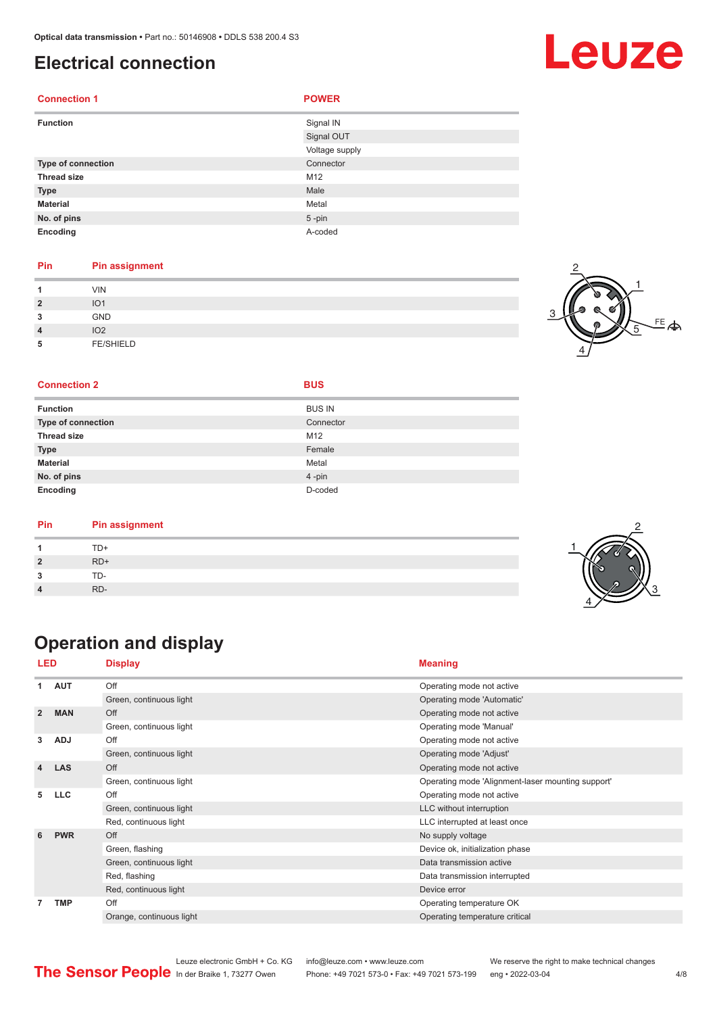#### <span id="page-3-0"></span>**Electrical connection**

| <b>Connection 1</b> | <b>POWER</b>   |
|---------------------|----------------|
| <b>Function</b>     | Signal IN      |
|                     | Signal OUT     |
|                     | Voltage supply |
| Type of connection  | Connector      |
| <b>Thread size</b>  | M12            |
| <b>Type</b>         | Male           |
| <b>Material</b>     | Metal          |
| No. of pins         | $5 - pin$      |
| Encoding            | A-coded        |

#### **Pin Pin assignment**

| и              | <b>VIN</b>       |  |
|----------------|------------------|--|
| $\overline{2}$ | IO <sub>1</sub>  |  |
| 3              | GND              |  |
| $\overline{4}$ | IO <sub>2</sub>  |  |
| 5              | <b>FE/SHIELD</b> |  |



#### **Connection 2 BUS**

|  |  | I |
|--|--|---|
|  |  |   |

| <b>Function</b>           | <b>BUS IN</b> |
|---------------------------|---------------|
| <b>Type of connection</b> | Connector     |
| <b>Thread size</b>        | M12           |
| <b>Type</b>               | Female        |
| <b>Material</b>           | Metal         |
| No. of pins               | 4-pin         |
| Encoding                  | D-coded       |

| Pin | <b>Pin assignment</b> |
|-----|-----------------------|
|     | TD+                   |
|     | $RD+$                 |
|     | TD-                   |
|     | RD-                   |

### **Operation and display**

| LED            |            | <b>Display</b>           | <b>Meaning</b>                                    |
|----------------|------------|--------------------------|---------------------------------------------------|
| 1              | <b>AUT</b> | Off                      | Operating mode not active                         |
|                |            | Green, continuous light  | Operating mode 'Automatic'                        |
| $\overline{2}$ | <b>MAN</b> | Off                      | Operating mode not active                         |
|                |            | Green, continuous light  | Operating mode 'Manual'                           |
| 3              | <b>ADJ</b> | Off                      | Operating mode not active                         |
|                |            | Green, continuous light  | Operating mode 'Adjust'                           |
| 4              | <b>LAS</b> | Off                      | Operating mode not active                         |
|                |            | Green, continuous light  | Operating mode 'Alignment-laser mounting support' |
| 5              | <b>LLC</b> | Off                      | Operating mode not active                         |
|                |            | Green, continuous light  | LLC without interruption                          |
|                |            | Red, continuous light    | LLC interrupted at least once                     |
| 6              | <b>PWR</b> | Off                      | No supply voltage                                 |
|                |            | Green, flashing          | Device ok, initialization phase                   |
|                |            | Green, continuous light  | Data transmission active                          |
|                |            | Red, flashing            | Data transmission interrupted                     |
|                |            | Red, continuous light    | Device error                                      |
| 7              | <b>TMP</b> | Off                      | Operating temperature OK                          |
|                |            | Orange, continuous light | Operating temperature critical                    |

Leuze electronic GmbH + Co. KG info@leuze.com • www.leuze.com We reserve the right to make technical changes<br>
The Sensor People in der Braike 1, 73277 Owen Phone: +49 7021 573-0 • Fax: +49 7021 573-199 eng • 2022-03-04 Phone: +49 7021 573-0 • Fax: +49 7021 573-199 eng • 2022-03-04 **4/8** 

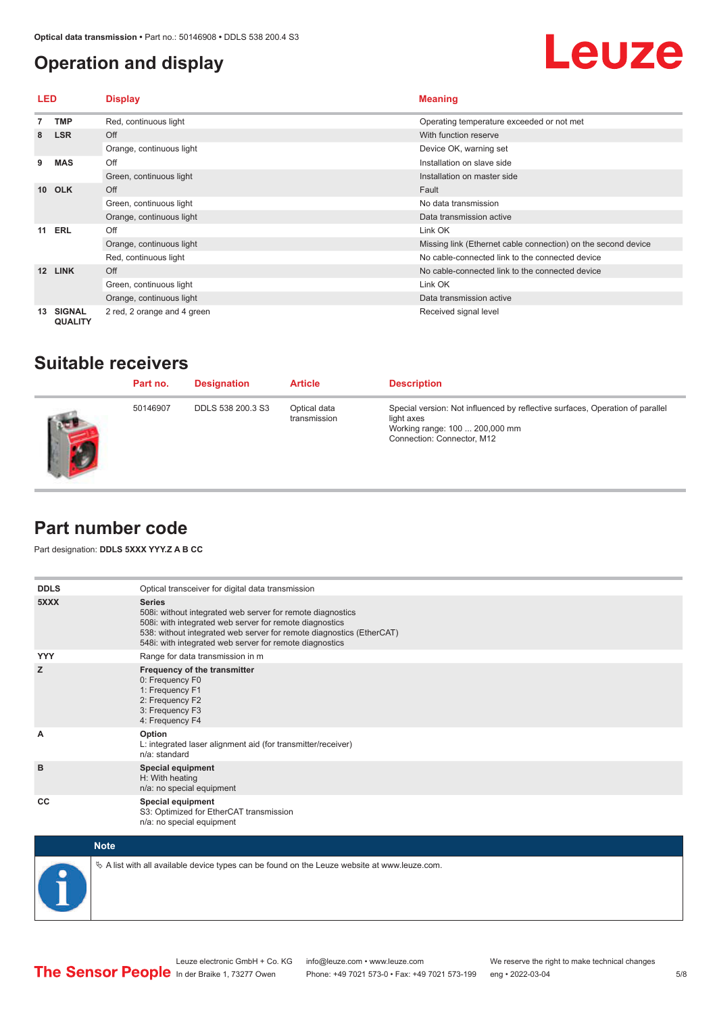#### <span id="page-4-0"></span>**Operation and display**

## Leuze

| LED             |                                 | <b>Display</b>              | <b>Meaning</b>                                                |
|-----------------|---------------------------------|-----------------------------|---------------------------------------------------------------|
|                 | <b>TMP</b>                      | Red, continuous light       | Operating temperature exceeded or not met                     |
| 8               | <b>LSR</b>                      | Off                         | With function reserve                                         |
|                 |                                 | Orange, continuous light    | Device OK, warning set                                        |
| 9               | <b>MAS</b>                      | Off                         | Installation on slave side                                    |
|                 |                                 | Green, continuous light     | Installation on master side                                   |
| 10 <sup>1</sup> | <b>OLK</b>                      | Off                         | Fault                                                         |
|                 |                                 | Green, continuous light     | No data transmission                                          |
|                 |                                 | Orange, continuous light    | Data transmission active                                      |
|                 | <b>11 ERL</b>                   | Off                         | Link OK                                                       |
|                 |                                 | Orange, continuous light    | Missing link (Ethernet cable connection) on the second device |
|                 |                                 | Red, continuous light       | No cable-connected link to the connected device               |
| 12              | <b>LINK</b>                     | Off                         | No cable-connected link to the connected device               |
|                 |                                 | Green, continuous light     | Link OK                                                       |
|                 |                                 | Orange, continuous light    | Data transmission active                                      |
| 13              | <b>SIGNAL</b><br><b>QUALITY</b> | 2 red, 2 orange and 4 green | Received signal level                                         |

#### **Suitable receivers**

| Part no. | <b>Designation</b> | <b>Article</b>               | <b>Description</b>                                                                                                                                          |
|----------|--------------------|------------------------------|-------------------------------------------------------------------------------------------------------------------------------------------------------------|
| 50146907 | DDLS 538 200.3 S3  | Optical data<br>transmission | Special version: Not influenced by reflective surfaces, Operation of parallel<br>light axes<br>Working range: 100  200,000 mm<br>Connection: Connector, M12 |

#### **Part number code**

Part designation: **DDLS 5XXX YYY.Z A B CC**

| <b>DDLS</b> | Optical transceiver for digital data transmission                                                                                                                                                                                                                         |
|-------------|---------------------------------------------------------------------------------------------------------------------------------------------------------------------------------------------------------------------------------------------------------------------------|
| 5XXX        | <b>Series</b><br>508i: without integrated web server for remote diagnostics<br>508i: with integrated web server for remote diagnostics<br>538: without integrated web server for remote diagnostics (EtherCAT)<br>548i: with integrated web server for remote diagnostics |
| <b>YYY</b>  | Range for data transmission in m                                                                                                                                                                                                                                          |
| z           | Frequency of the transmitter<br>0: Frequency F0<br>1: Frequency F1<br>2: Frequency F2<br>3: Frequency F3<br>4: Frequency F4                                                                                                                                               |
| A           | Option<br>L: integrated laser alignment aid (for transmitter/receiver)<br>n/a: standard                                                                                                                                                                                   |
| B           | <b>Special equipment</b><br>H: With heating<br>n/a: no special equipment                                                                                                                                                                                                  |
| CC          | Special equipment<br>S3: Optimized for EtherCAT transmission<br>n/a: no special equipment                                                                                                                                                                                 |



 $\&$  A list with all available device types can be found on the Leuze website at www.leuze.com.

5/8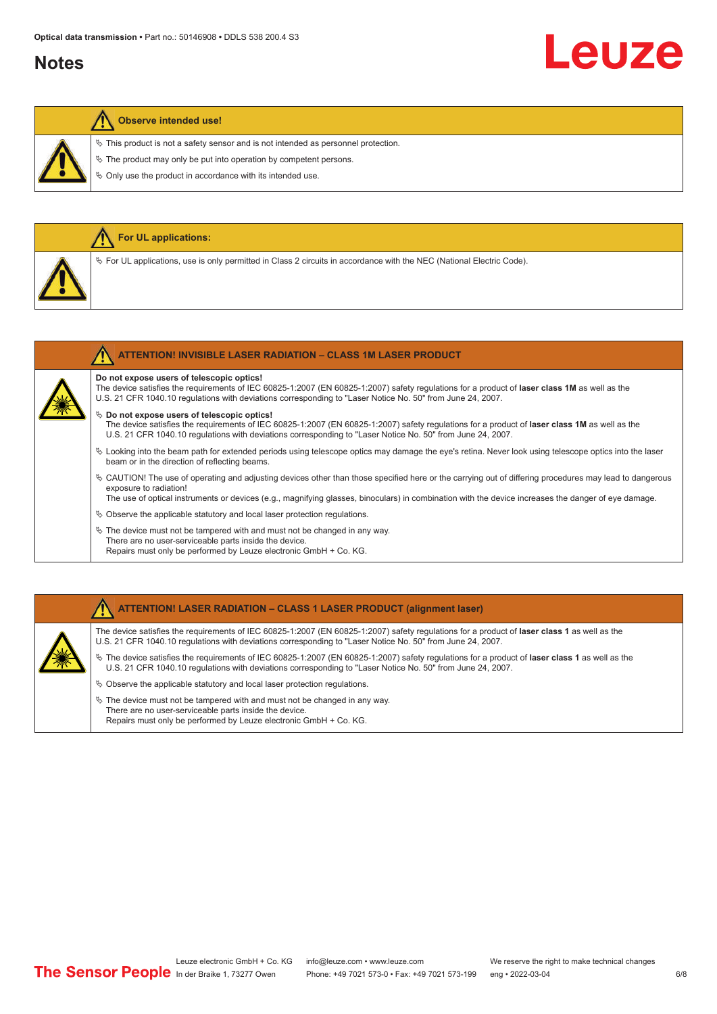#### **Notes**

# Leuze

#### **Observe intended use!**

**For UL applications:**

 $\%$  This product is not a safety sensor and is not intended as personnel protection.

 $\&$  The product may only be put into operation by competent persons.

 $\%$  Only use the product in accordance with its intended use.

| $\%$ For UL applications, use is only permitted in Class 2 circuits in accordance with the NEC (National Electric Code).                                                                                                                                                                                                                                                                                                                                                                                                                                                                                                  |
|---------------------------------------------------------------------------------------------------------------------------------------------------------------------------------------------------------------------------------------------------------------------------------------------------------------------------------------------------------------------------------------------------------------------------------------------------------------------------------------------------------------------------------------------------------------------------------------------------------------------------|
| <b>ATTENTION! INVISIBLE LASER RADIATION - CLASS 1M LASER PRODUCT</b>                                                                                                                                                                                                                                                                                                                                                                                                                                                                                                                                                      |
| Do not expose users of telescopic optics!<br>The device satisfies the requirements of IEC 60825-1:2007 (EN 60825-1:2007) safety requlations for a product of laser class 1M as well as the<br>U.S. 21 CFR 1040.10 regulations with deviations corresponding to "Laser Notice No. 50" from June 24, 2007.<br>$\%$ Do not expose users of telescopic optics!<br>The device satisfies the requirements of IEC 60825-1:2007 (EN 60825-1:2007) safety requlations for a product of laser class 1M as well as the<br>U.S. 21 CFR 1040.10 regulations with deviations corresponding to "Laser Notice No. 50" from June 24, 2007. |
| Mr. I calibratize the house walk for colorated and advant fologogic collegence almostration allowed the fologogical control into the language of the language of the language of the language of the language of the language                                                                                                                                                                                                                                                                                                                                                                                             |

- ª Looking into the beam path for extended periods using telescope optics may damage the eye's retina. Never look using telescope optics into the laser beam or in the direction of reflecting beams.
- ª CAUTION! The use of operating and adjusting devices other than those specified here or the carrying out of differing procedures may lead to dangerous exposure to radiation!

The use of optical instruments or devices (e.g., magnifying glasses, binoculars) in combination with the device increases the danger of eye damage.

- $\&$  Observe the applicable statutory and local laser protection regulations.
- $\%$  The device must not be tampered with and must not be changed in any way. There are no user-serviceable parts inside the device. Repairs must only be performed by Leuze electronic GmbH + Co. KG.

#### **ATTENTION! LASER RADIATION – CLASS 1 LASER PRODUCT (alignment laser)**

The device satisfies the requirements of IEC 60825-1:2007 (EN 60825-1:2007) safety regulations for a product of **laser class 1** as well as the U.S. 21 CFR 1040.10 regulations with deviations corresponding to "Laser Notice No. 50" from June 24, 2007.

- ª The device satisfies the requirements of IEC 60825-1:2007 (EN 60825-1:2007) safety regulations for a product of **laser class 1** as well as the U.S. 21 CFR 1040.10 regulations with deviations corresponding to "Laser Notice No. 50" from June 24, 2007.
- $\%$  Observe the applicable statutory and local laser protection regulations.
- $\ddot{\phi}$  The device must not be tampered with and must not be changed in any way. There are no user-serviceable parts inside the device. Repairs must only be performed by Leuze electronic GmbH + Co. KG.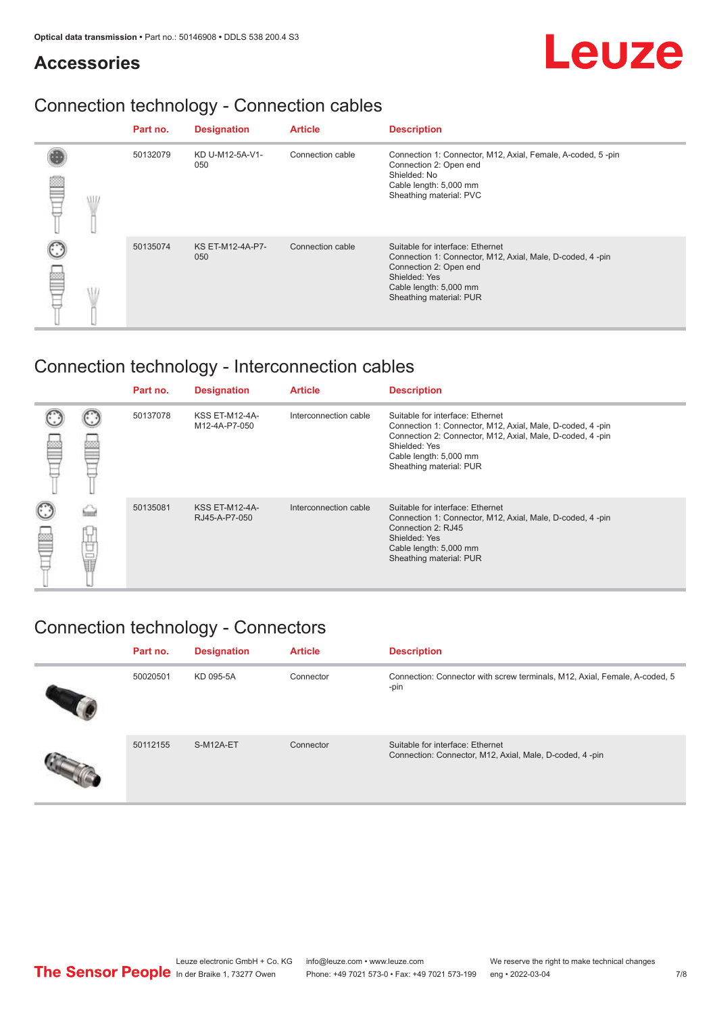#### **Accessories**

# Leuze

### Connection technology - Connection cables

|            | Part no. | <b>Designation</b>      | <b>Article</b>   | <b>Description</b>                                                                                                                                                                            |
|------------|----------|-------------------------|------------------|-----------------------------------------------------------------------------------------------------------------------------------------------------------------------------------------------|
| <b>ALL</b> | 50132079 | KD U-M12-5A-V1-<br>050  | Connection cable | Connection 1: Connector, M12, Axial, Female, A-coded, 5-pin<br>Connection 2: Open end<br>Shielded: No<br>Cable length: 5,000 mm<br>Sheathing material: PVC                                    |
|            | 50135074 | KS ET-M12-4A-P7-<br>050 | Connection cable | Suitable for interface: Ethernet<br>Connection 1: Connector, M12, Axial, Male, D-coded, 4-pin<br>Connection 2: Open end<br>Shielded: Yes<br>Cable length: 5,000 mm<br>Sheathing material: PUR |

### Connection technology - Interconnection cables

|        |   | Part no. | <b>Designation</b>                     | <b>Article</b>        | <b>Description</b>                                                                                                                                                                                                               |
|--------|---|----------|----------------------------------------|-----------------------|----------------------------------------------------------------------------------------------------------------------------------------------------------------------------------------------------------------------------------|
|        |   | 50137078 | <b>KSS ET-M12-4A-</b><br>M12-4A-P7-050 | Interconnection cable | Suitable for interface: Ethernet<br>Connection 1: Connector, M12, Axial, Male, D-coded, 4-pin<br>Connection 2: Connector, M12, Axial, Male, D-coded, 4-pin<br>Shielded: Yes<br>Cable length: 5,000 mm<br>Sheathing material: PUR |
| C<br>丝 | Ö | 50135081 | <b>KSS ET-M12-4A-</b><br>RJ45-A-P7-050 | Interconnection cable | Suitable for interface: Ethernet<br>Connection 1: Connector, M12, Axial, Male, D-coded, 4-pin<br>Connection 2: RJ45<br>Shielded: Yes<br>Cable length: 5,000 mm<br>Sheathing material: PUR                                        |

#### Connection technology - Connectors

| Part no. | <b>Designation</b> | <b>Article</b> | <b>Description</b>                                                                          |
|----------|--------------------|----------------|---------------------------------------------------------------------------------------------|
| 50020501 | KD 095-5A          | Connector      | Connection: Connector with screw terminals, M12, Axial, Female, A-coded, 5<br>-pin          |
| 50112155 | S-M12A-ET          | Connector      | Suitable for interface: Ethernet<br>Connection: Connector, M12, Axial, Male, D-coded, 4-pin |